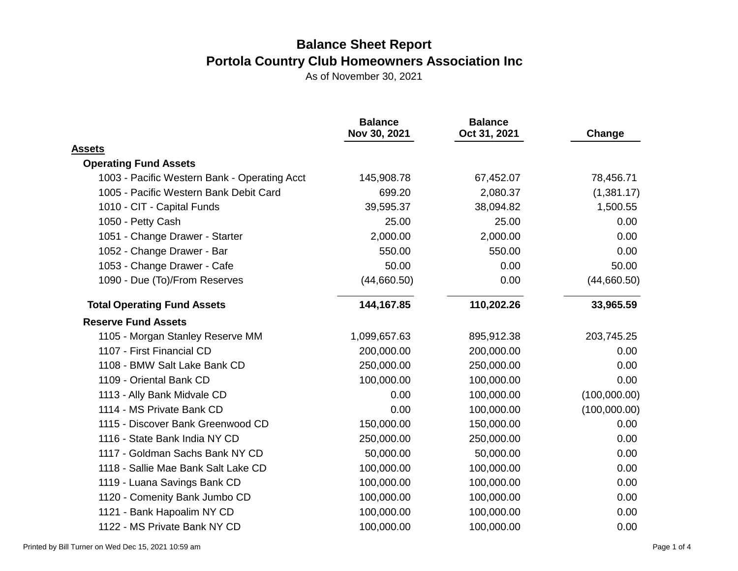|                                              | <b>Balance</b><br>Nov 30, 2021 | <b>Balance</b><br>Oct 31, 2021 | Change       |
|----------------------------------------------|--------------------------------|--------------------------------|--------------|
| <b>Assets</b>                                |                                |                                |              |
| <b>Operating Fund Assets</b>                 |                                |                                |              |
| 1003 - Pacific Western Bank - Operating Acct | 145,908.78                     | 67,452.07                      | 78,456.71    |
| 1005 - Pacific Western Bank Debit Card       | 699.20                         | 2,080.37                       | (1,381.17)   |
| 1010 - CIT - Capital Funds                   | 39,595.37                      | 38,094.82                      | 1,500.55     |
| 1050 - Petty Cash                            | 25.00                          | 25.00                          | 0.00         |
| 1051 - Change Drawer - Starter               | 2,000.00                       | 2,000.00                       | 0.00         |
| 1052 - Change Drawer - Bar                   | 550.00                         | 550.00                         | 0.00         |
| 1053 - Change Drawer - Cafe                  | 50.00                          | 0.00                           | 50.00        |
| 1090 - Due (To)/From Reserves                | (44,660.50)                    | 0.00                           | (44,660.50)  |
| <b>Total Operating Fund Assets</b>           | 144,167.85                     | 110,202.26                     | 33,965.59    |
| <b>Reserve Fund Assets</b>                   |                                |                                |              |
| 1105 - Morgan Stanley Reserve MM             | 1,099,657.63                   | 895,912.38                     | 203,745.25   |
| 1107 - First Financial CD                    | 200,000.00                     | 200,000.00                     | 0.00         |
| 1108 - BMW Salt Lake Bank CD                 | 250,000.00                     | 250,000.00                     | 0.00         |
| 1109 - Oriental Bank CD                      | 100,000.00                     | 100,000.00                     | 0.00         |
| 1113 - Ally Bank Midvale CD                  | 0.00                           | 100,000.00                     | (100,000.00) |
| 1114 - MS Private Bank CD                    | 0.00                           | 100,000.00                     | (100,000.00) |
| 1115 - Discover Bank Greenwood CD            | 150,000.00                     | 150,000.00                     | 0.00         |
| 1116 - State Bank India NY CD                | 250,000.00                     | 250,000.00                     | 0.00         |
| 1117 - Goldman Sachs Bank NY CD              | 50,000.00                      | 50,000.00                      | 0.00         |
| 1118 - Sallie Mae Bank Salt Lake CD          | 100,000.00                     | 100,000.00                     | 0.00         |
| 1119 - Luana Savings Bank CD                 | 100,000.00                     | 100,000.00                     | 0.00         |
| 1120 - Comenity Bank Jumbo CD                | 100,000.00                     | 100,000.00                     | 0.00         |
| 1121 - Bank Hapoalim NY CD                   | 100,000.00                     | 100,000.00                     | 0.00         |
| 1122 - MS Private Bank NY CD                 | 100,000.00                     | 100,000.00                     | 0.00         |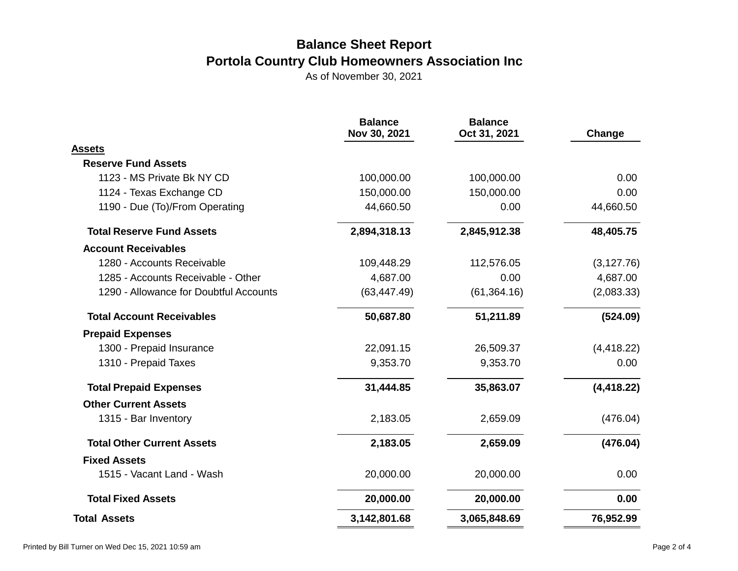|                                        | <b>Balance</b><br>Nov 30, 2021 | <b>Balance</b><br>Oct 31, 2021 | Change      |
|----------------------------------------|--------------------------------|--------------------------------|-------------|
| <b>Assets</b>                          |                                |                                |             |
| <b>Reserve Fund Assets</b>             |                                |                                |             |
| 1123 - MS Private Bk NY CD             | 100,000.00                     | 100,000.00                     | 0.00        |
| 1124 - Texas Exchange CD               | 150,000.00                     | 150,000.00                     | 0.00        |
| 1190 - Due (To)/From Operating         | 44,660.50                      | 0.00                           | 44,660.50   |
| <b>Total Reserve Fund Assets</b>       | 2,894,318.13                   | 2,845,912.38                   | 48,405.75   |
| <b>Account Receivables</b>             |                                |                                |             |
| 1280 - Accounts Receivable             | 109,448.29                     | 112,576.05                     | (3, 127.76) |
| 1285 - Accounts Receivable - Other     | 4,687.00                       | 0.00                           | 4,687.00    |
| 1290 - Allowance for Doubtful Accounts | (63, 447.49)                   | (61, 364.16)                   | (2,083.33)  |
| <b>Total Account Receivables</b>       | 50,687.80                      | 51,211.89                      | (524.09)    |
| <b>Prepaid Expenses</b>                |                                |                                |             |
| 1300 - Prepaid Insurance               | 22,091.15                      | 26,509.37                      | (4, 418.22) |
| 1310 - Prepaid Taxes                   | 9,353.70                       | 9,353.70                       | 0.00        |
| <b>Total Prepaid Expenses</b>          | 31,444.85                      | 35,863.07                      | (4, 418.22) |
| <b>Other Current Assets</b>            |                                |                                |             |
| 1315 - Bar Inventory                   | 2,183.05                       | 2,659.09                       | (476.04)    |
| <b>Total Other Current Assets</b>      | 2,183.05                       | 2,659.09                       | (476.04)    |
| <b>Fixed Assets</b>                    |                                |                                |             |
| 1515 - Vacant Land - Wash              | 20,000.00                      | 20,000.00                      | 0.00        |
| <b>Total Fixed Assets</b>              | 20,000.00                      | 20,000.00                      | 0.00        |
| <b>Total Assets</b>                    | 3,142,801.68                   | 3,065,848.69                   | 76,952.99   |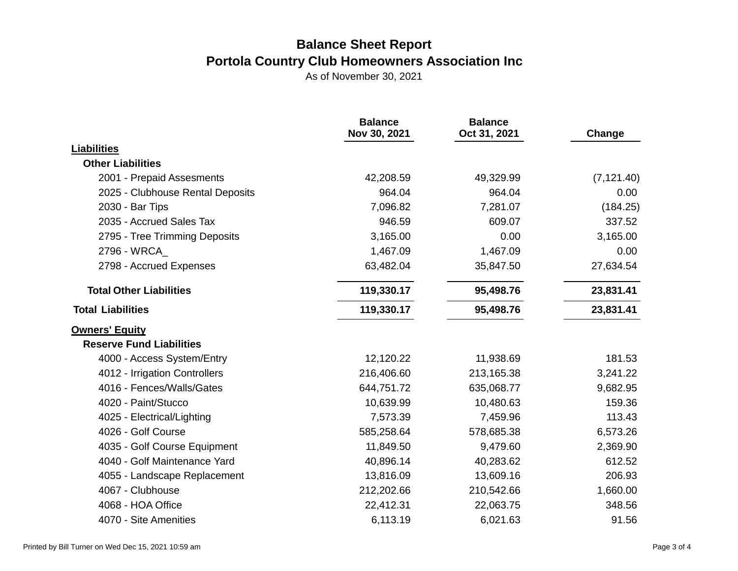|                                  | <b>Balance</b><br>Nov 30, 2021 | <b>Balance</b><br>Oct 31, 2021 | Change      |
|----------------------------------|--------------------------------|--------------------------------|-------------|
| <b>Liabilities</b>               |                                |                                |             |
| <b>Other Liabilities</b>         |                                |                                |             |
| 2001 - Prepaid Assesments        | 42,208.59                      | 49,329.99                      | (7, 121.40) |
| 2025 - Clubhouse Rental Deposits | 964.04                         | 964.04                         | 0.00        |
| 2030 - Bar Tips                  | 7,096.82                       | 7,281.07                       | (184.25)    |
| 2035 - Accrued Sales Tax         | 946.59                         | 609.07                         | 337.52      |
| 2795 - Tree Trimming Deposits    | 3,165.00                       | 0.00                           | 3,165.00    |
| 2796 - WRCA_                     | 1,467.09                       | 1,467.09                       | 0.00        |
| 2798 - Accrued Expenses          | 63,482.04                      | 35,847.50                      | 27,634.54   |
| <b>Total Other Liabilities</b>   | 119,330.17                     | 95,498.76                      | 23,831.41   |
| <b>Total Liabilities</b>         | 119,330.17                     | 95,498.76                      | 23,831.41   |
| <b>Owners' Equity</b>            |                                |                                |             |
| <b>Reserve Fund Liabilities</b>  |                                |                                |             |
| 4000 - Access System/Entry       | 12,120.22                      | 11,938.69                      | 181.53      |
| 4012 - Irrigation Controllers    | 216,406.60                     | 213,165.38                     | 3,241.22    |
| 4016 - Fences/Walls/Gates        | 644,751.72                     | 635,068.77                     | 9,682.95    |
| 4020 - Paint/Stucco              | 10,639.99                      | 10,480.63                      | 159.36      |
| 4025 - Electrical/Lighting       | 7,573.39                       | 7,459.96                       | 113.43      |
| 4026 - Golf Course               | 585,258.64                     | 578,685.38                     | 6,573.26    |
| 4035 - Golf Course Equipment     | 11,849.50                      | 9,479.60                       | 2,369.90    |
| 4040 - Golf Maintenance Yard     | 40,896.14                      | 40,283.62                      | 612.52      |
| 4055 - Landscape Replacement     | 13,816.09                      | 13,609.16                      | 206.93      |
| 4067 - Clubhouse                 | 212,202.66                     | 210,542.66                     | 1,660.00    |
| 4068 - HOA Office                | 22,412.31                      | 22,063.75                      | 348.56      |
| 4070 - Site Amenities            | 6,113.19                       | 6,021.63                       | 91.56       |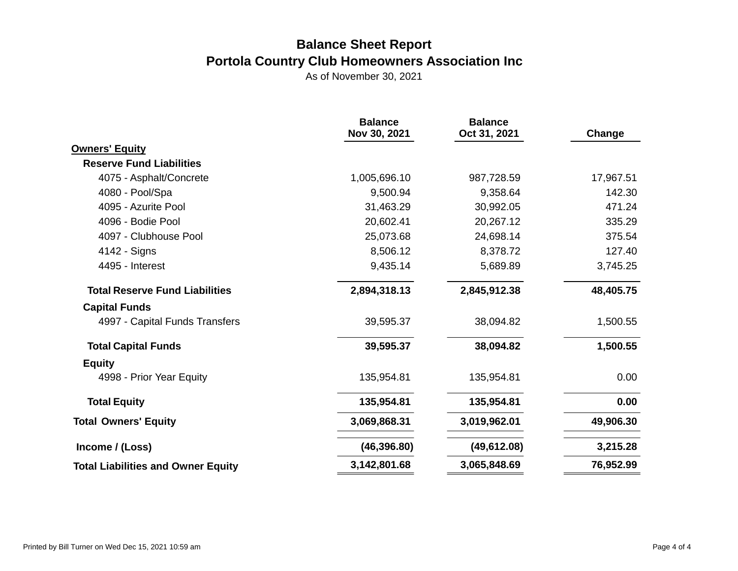|                                           | <b>Balance</b><br>Nov 30, 2021 | <b>Balance</b><br>Oct 31, 2021 | Change    |
|-------------------------------------------|--------------------------------|--------------------------------|-----------|
| <b>Owners' Equity</b>                     |                                |                                |           |
| <b>Reserve Fund Liabilities</b>           |                                |                                |           |
| 4075 - Asphalt/Concrete                   | 1,005,696.10                   | 987,728.59                     | 17,967.51 |
| 4080 - Pool/Spa                           | 9,500.94                       | 9,358.64                       | 142.30    |
| 4095 - Azurite Pool                       | 31,463.29                      | 30,992.05                      | 471.24    |
| 4096 - Bodie Pool                         | 20,602.41                      | 20,267.12                      | 335.29    |
| 4097 - Clubhouse Pool                     | 25,073.68                      | 24,698.14                      | 375.54    |
| 4142 - Signs                              | 8,506.12                       | 8,378.72                       | 127.40    |
| 4495 - Interest                           | 9,435.14                       | 5,689.89                       | 3,745.25  |
| <b>Total Reserve Fund Liabilities</b>     | 2,894,318.13<br>2,845,912.38   |                                | 48,405.75 |
| <b>Capital Funds</b>                      |                                |                                |           |
| 4997 - Capital Funds Transfers            | 39,595.37                      | 38,094.82                      | 1,500.55  |
| <b>Total Capital Funds</b>                | 39,595.37                      | 38,094.82                      | 1,500.55  |
| <b>Equity</b>                             |                                |                                |           |
| 4998 - Prior Year Equity                  | 135,954.81                     | 135,954.81                     | 0.00      |
| <b>Total Equity</b>                       | 135,954.81                     | 135,954.81                     | 0.00      |
| <b>Total Owners' Equity</b>               | 3,069,868.31                   | 3,019,962.01                   | 49,906.30 |
| Income / (Loss)                           | (46, 396.80)                   | (49, 612.08)                   | 3,215.28  |
| <b>Total Liabilities and Owner Equity</b> | 3,142,801.68                   | 3,065,848.69                   | 76,952.99 |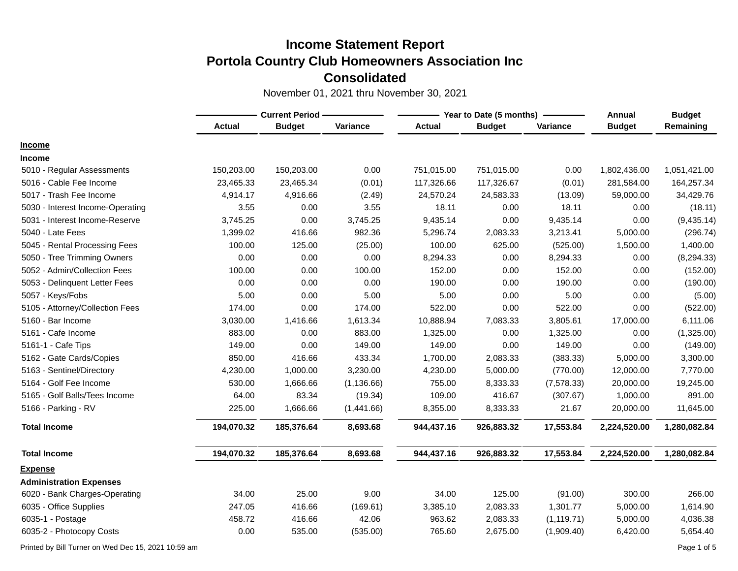November 01, 2021 thru November 30, 2021

|                                  | <b>Current Period -</b> |               |             |               | Year to Date (5 months) | Annual      | <b>Budget</b> |              |
|----------------------------------|-------------------------|---------------|-------------|---------------|-------------------------|-------------|---------------|--------------|
|                                  | <b>Actual</b>           | <b>Budget</b> | Variance    | <b>Actual</b> | <b>Budget</b>           | Variance    | <b>Budget</b> | Remaining    |
| <b>Income</b>                    |                         |               |             |               |                         |             |               |              |
| <b>Income</b>                    |                         |               |             |               |                         |             |               |              |
| 5010 - Regular Assessments       | 150,203.00              | 150,203.00    | 0.00        | 751,015.00    | 751,015.00              | 0.00        | 1,802,436.00  | 1,051,421.00 |
| 5016 - Cable Fee Income          | 23,465.33               | 23,465.34     | (0.01)      | 117,326.66    | 117,326.67              | (0.01)      | 281,584.00    | 164,257.34   |
| 5017 - Trash Fee Income          | 4,914.17                | 4,916.66      | (2.49)      | 24,570.24     | 24,583.33               | (13.09)     | 59,000.00     | 34,429.76    |
| 5030 - Interest Income-Operating | 3.55                    | 0.00          | 3.55        | 18.11         | 0.00                    | 18.11       | 0.00          | (18.11)      |
| 5031 - Interest Income-Reserve   | 3,745.25                | 0.00          | 3,745.25    | 9,435.14      | 0.00                    | 9,435.14    | 0.00          | (9,435.14)   |
| 5040 - Late Fees                 | 1,399.02                | 416.66        | 982.36      | 5,296.74      | 2,083.33                | 3,213.41    | 5,000.00      | (296.74)     |
| 5045 - Rental Processing Fees    | 100.00                  | 125.00        | (25.00)     | 100.00        | 625.00                  | (525.00)    | 1,500.00      | 1,400.00     |
| 5050 - Tree Trimming Owners      | 0.00                    | 0.00          | 0.00        | 8,294.33      | 0.00                    | 8,294.33    | 0.00          | (8, 294.33)  |
| 5052 - Admin/Collection Fees     | 100.00                  | 0.00          | 100.00      | 152.00        | 0.00                    | 152.00      | 0.00          | (152.00)     |
| 5053 - Delinquent Letter Fees    | 0.00                    | 0.00          | 0.00        | 190.00        | 0.00                    | 190.00      | 0.00          | (190.00)     |
| 5057 - Keys/Fobs                 | 5.00                    | 0.00          | 5.00        | 5.00          | 0.00                    | 5.00        | 0.00          | (5.00)       |
| 5105 - Attorney/Collection Fees  | 174.00                  | 0.00          | 174.00      | 522.00        | 0.00                    | 522.00      | 0.00          | (522.00)     |
| 5160 - Bar Income                | 3,030.00                | 1,416.66      | 1,613.34    | 10,888.94     | 7,083.33                | 3,805.61    | 17,000.00     | 6,111.06     |
| 5161 - Cafe Income               | 883.00                  | 0.00          | 883.00      | 1,325.00      | 0.00                    | 1,325.00    | 0.00          | (1,325.00)   |
| 5161-1 - Cafe Tips               | 149.00                  | 0.00          | 149.00      | 149.00        | 0.00                    | 149.00      | 0.00          | (149.00)     |
| 5162 - Gate Cards/Copies         | 850.00                  | 416.66        | 433.34      | 1,700.00      | 2,083.33                | (383.33)    | 5,000.00      | 3,300.00     |
| 5163 - Sentinel/Directory        | 4,230.00                | 1,000.00      | 3,230.00    | 4,230.00      | 5,000.00                | (770.00)    | 12,000.00     | 7,770.00     |
| 5164 - Golf Fee Income           | 530.00                  | 1,666.66      | (1, 136.66) | 755.00        | 8,333.33                | (7,578.33)  | 20,000.00     | 19,245.00    |
| 5165 - Golf Balls/Tees Income    | 64.00                   | 83.34         | (19.34)     | 109.00        | 416.67                  | (307.67)    | 1,000.00      | 891.00       |
| 5166 - Parking - RV              | 225.00                  | 1,666.66      | (1,441.66)  | 8,355.00      | 8,333.33                | 21.67       | 20,000.00     | 11,645.00    |
| <b>Total Income</b>              | 194,070.32              | 185,376.64    | 8,693.68    | 944,437.16    | 926,883.32              | 17,553.84   | 2,224,520.00  | 1,280,082.84 |
| <b>Total Income</b>              | 194,070.32              | 185,376.64    | 8,693.68    | 944,437.16    | 926,883.32              | 17,553.84   | 2,224,520.00  | 1,280,082.84 |
| <b>Expense</b>                   |                         |               |             |               |                         |             |               |              |
| <b>Administration Expenses</b>   |                         |               |             |               |                         |             |               |              |
| 6020 - Bank Charges-Operating    | 34.00                   | 25.00         | 9.00        | 34.00         | 125.00                  | (91.00)     | 300.00        | 266.00       |
| 6035 - Office Supplies           | 247.05                  | 416.66        | (169.61)    | 3,385.10      | 2,083.33                | 1,301.77    | 5,000.00      | 1,614.90     |
| 6035-1 - Postage                 | 458.72                  | 416.66        | 42.06       | 963.62        | 2,083.33                | (1, 119.71) | 5,000.00      | 4,036.38     |
| 6035-2 - Photocopy Costs         | 0.00                    | 535.00        | (535.00)    | 765.60        | 2,675.00                | (1,909.40)  | 6,420.00      | 5,654.40     |

Printed by Bill Turner on Wed Dec 15, 2021 10:59 am **Page 1 of 5** and the US of 5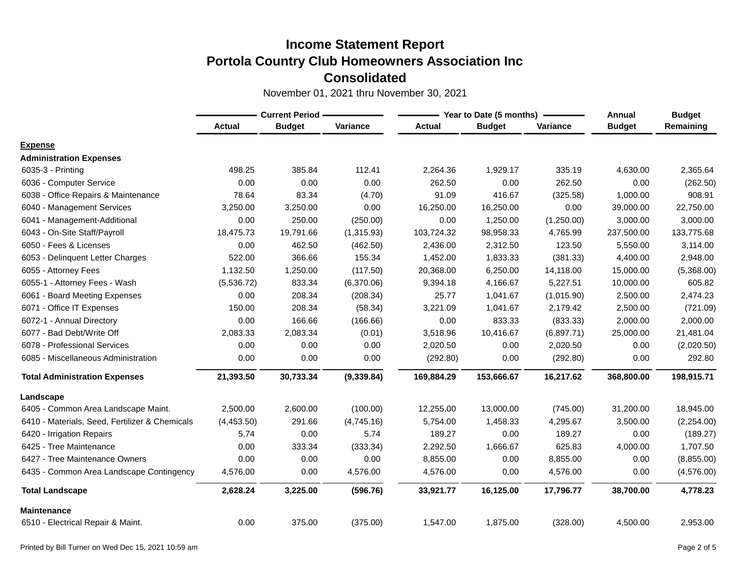|                                                | <b>Current Period -</b> |               |            |               | Year to Date (5 months) | Annual     | <b>Budget</b> |            |
|------------------------------------------------|-------------------------|---------------|------------|---------------|-------------------------|------------|---------------|------------|
|                                                | <b>Actual</b>           | <b>Budget</b> | Variance   | <b>Actual</b> | <b>Budget</b>           | Variance   | <b>Budget</b> | Remaining  |
| <b>Expense</b>                                 |                         |               |            |               |                         |            |               |            |
| <b>Administration Expenses</b>                 |                         |               |            |               |                         |            |               |            |
| 6035-3 - Printing                              | 498.25                  | 385.84        | 112.41     | 2,264.36      | 1,929.17                | 335.19     | 4,630.00      | 2,365.64   |
| 6036 - Computer Service                        | 0.00                    | 0.00          | 0.00       | 262.50        | 0.00                    | 262.50     | 0.00          | (262.50)   |
| - Office Repairs & Maintenance<br>6038         | 78.64                   | 83.34         | (4.70)     | 91.09         | 416.67                  | (325.58)   | 1,000.00      | 908.91     |
| 6040 - Management Services                     | 3,250.00                | 3,250.00      | 0.00       | 16,250.00     | 16,250.00               | 0.00       | 39,000.00     | 22,750.00  |
| 6041 - Management-Additional                   | 0.00                    | 250.00        | (250.00)   | 0.00          | 1,250.00                | (1,250.00) | 3,000.00      | 3,000.00   |
| 6043 - On-Site Staff/Payroll                   | 18,475.73               | 19,791.66     | (1,315.93) | 103,724.32    | 98,958.33               | 4,765.99   | 237,500.00    | 133,775.68 |
| 6050 - Fees & Licenses                         | 0.00                    | 462.50        | (462.50)   | 2,436.00      | 2,312.50                | 123.50     | 5,550.00      | 3,114.00   |
| 6053 - Delinquent Letter Charges               | 522.00                  | 366.66        | 155.34     | 1,452.00      | 1,833.33                | (381.33)   | 4,400.00      | 2,948.00   |
| 6055 - Attorney Fees                           | 1,132.50                | 1,250.00      | (117.50)   | 20,368.00     | 6,250.00                | 14,118.00  | 15,000.00     | (5,368.00) |
| 6055-1 - Attorney Fees - Wash                  | (5,536.72)              | 833.34        | (6,370.06) | 9,394.18      | 4,166.67                | 5,227.51   | 10,000.00     | 605.82     |
| 6061 - Board Meeting Expenses                  | 0.00                    | 208.34        | (208.34)   | 25.77         | 1,041.67                | (1,015.90) | 2,500.00      | 2,474.23   |
| 6071 - Office IT Expenses                      | 150.00                  | 208.34        | (58.34)    | 3,221.09      | 1,041.67                | 2,179.42   | 2,500.00      | (721.09)   |
| 6072-1 - Annual Directory                      | 0.00                    | 166.66        | (166.66)   | 0.00          | 833.33                  | (833.33)   | 2,000.00      | 2,000.00   |
| 6077 - Bad Debt/Write Off                      | 2,083.33                | 2,083.34      | (0.01)     | 3,518.96      | 10,416.67               | (6,897.71) | 25,000.00     | 21,481.04  |
| 6078 - Professional Services                   | 0.00                    | 0.00          | 0.00       | 2,020.50      | 0.00                    | 2,020.50   | 0.00          | (2,020.50) |
| 6085 - Miscellaneous Administration            | 0.00                    | 0.00          | 0.00       | (292.80)      | 0.00                    | (292.80)   | 0.00          | 292.80     |
| <b>Total Administration Expenses</b>           | 21,393.50               | 30,733.34     | (9,339.84) | 169,884.29    | 153,666.67              | 16,217.62  | 368,800.00    | 198,915.71 |
| Landscape                                      |                         |               |            |               |                         |            |               |            |
| 6405 - Common Area Landscape Maint.            | 2,500.00                | 2,600.00      | (100.00)   | 12,255.00     | 13,000.00               | (745.00)   | 31,200.00     | 18,945.00  |
| 6410 - Materials, Seed, Fertilizer & Chemicals | (4,453.50)              | 291.66        | (4,745.16) | 5,754.00      | 1,458.33                | 4,295.67   | 3,500.00      | (2,254.00) |
| 6420 - Irrigation Repairs                      | 5.74                    | 0.00          | 5.74       | 189.27        | 0.00                    | 189.27     | 0.00          | (189.27)   |
| 6425 - Tree Maintenance                        | 0.00                    | 333.34        | (333.34)   | 2,292.50      | 1,666.67                | 625.83     | 4,000.00      | 1,707.50   |
| 6427 - Tree Maintenance Owners                 | 0.00                    | 0.00          | 0.00       | 8,855.00      | 0.00                    | 8,855.00   | 0.00          | (8,855.00) |
| 6435 - Common Area Landscape Contingency       | 4,576.00                | 0.00          | 4,576.00   | 4,576.00      | 0.00                    | 4,576.00   | 0.00          | (4,576.00) |
| <b>Total Landscape</b>                         | 2,628.24                | 3,225.00      | (596.76)   | 33,921.77     | 16,125.00               | 17,796.77  | 38,700.00     | 4,778.23   |
| Maintenance                                    |                         |               |            |               |                         |            |               |            |
| 6510 - Electrical Repair & Maint.              | 0.00                    | 375.00        | (375.00)   | 1,547.00      | 1,875.00                | (328.00)   | 4,500.00      | 2,953.00   |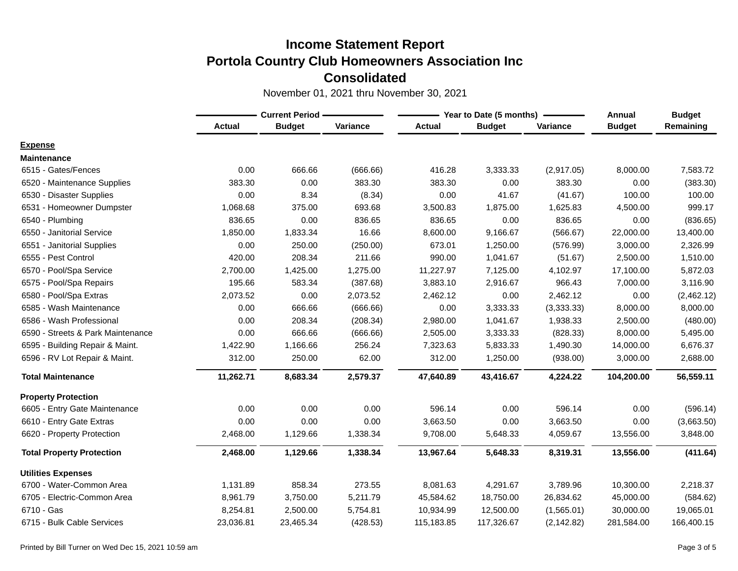|                                   | <b>Current Period -</b> |               |          |               | Year to Date (5 months) | Annual      | <b>Budget</b> |            |
|-----------------------------------|-------------------------|---------------|----------|---------------|-------------------------|-------------|---------------|------------|
|                                   | <b>Actual</b>           | <b>Budget</b> | Variance | <b>Actual</b> | <b>Budget</b>           | Variance    | <b>Budget</b> | Remaining  |
| <b>Expense</b>                    |                         |               |          |               |                         |             |               |            |
| <b>Maintenance</b>                |                         |               |          |               |                         |             |               |            |
| 6515 - Gates/Fences               | 0.00                    | 666.66        | (666.66) | 416.28        | 3,333.33                | (2,917.05)  | 8,000.00      | 7,583.72   |
| 6520 - Maintenance Supplies       | 383.30                  | 0.00          | 383.30   | 383.30        | 0.00                    | 383.30      | 0.00          | (383.30)   |
| 6530 - Disaster Supplies          | 0.00                    | 8.34          | (8.34)   | 0.00          | 41.67                   | (41.67)     | 100.00        | 100.00     |
| 6531 - Homeowner Dumpster         | 1,068.68                | 375.00        | 693.68   | 3,500.83      | 1,875.00                | 1,625.83    | 4,500.00      | 999.17     |
| 6540 - Plumbing                   | 836.65                  | 0.00          | 836.65   | 836.65        | 0.00                    | 836.65      | 0.00          | (836.65)   |
| 6550 - Janitorial Service         | 1,850.00                | 1,833.34      | 16.66    | 8,600.00      | 9,166.67                | (566.67)    | 22,000.00     | 13,400.00  |
| 6551 - Janitorial Supplies        | 0.00                    | 250.00        | (250.00) | 673.01        | 1,250.00                | (576.99)    | 3,000.00      | 2,326.99   |
| 6555 - Pest Control               | 420.00                  | 208.34        | 211.66   | 990.00        | 1,041.67                | (51.67)     | 2,500.00      | 1,510.00   |
| 6570 - Pool/Spa Service           | 2,700.00                | 1,425.00      | 1,275.00 | 11,227.97     | 7,125.00                | 4,102.97    | 17,100.00     | 5,872.03   |
| 6575 - Pool/Spa Repairs           | 195.66                  | 583.34        | (387.68) | 3,883.10      | 2,916.67                | 966.43      | 7,000.00      | 3,116.90   |
| 6580 - Pool/Spa Extras            | 2,073.52                | 0.00          | 2,073.52 | 2,462.12      | 0.00                    | 2,462.12    | 0.00          | (2,462.12) |
| 6585 - Wash Maintenance           | 0.00                    | 666.66        | (666.66) | 0.00          | 3,333.33                | (3,333.33)  | 8,000.00      | 8,000.00   |
| 6586 - Wash Professional          | 0.00                    | 208.34        | (208.34) | 2,980.00      | 1,041.67                | 1,938.33    | 2,500.00      | (480.00)   |
| 6590 - Streets & Park Maintenance | 0.00                    | 666.66        | (666.66) | 2,505.00      | 3,333.33                | (828.33)    | 8,000.00      | 5,495.00   |
| 6595 - Building Repair & Maint.   | 1,422.90                | 1,166.66      | 256.24   | 7,323.63      | 5,833.33                | 1,490.30    | 14,000.00     | 6,676.37   |
| 6596 - RV Lot Repair & Maint.     | 312.00                  | 250.00        | 62.00    | 312.00        | 1,250.00                | (938.00)    | 3,000.00      | 2,688.00   |
| <b>Total Maintenance</b>          | 11,262.71               | 8,683.34      | 2,579.37 | 47,640.89     | 43,416.67               | 4,224.22    | 104,200.00    | 56,559.11  |
| <b>Property Protection</b>        |                         |               |          |               |                         |             |               |            |
| 6605 - Entry Gate Maintenance     | 0.00                    | 0.00          | 0.00     | 596.14        | 0.00                    | 596.14      | 0.00          | (596.14)   |
| 6610 - Entry Gate Extras          | 0.00                    | 0.00          | 0.00     | 3,663.50      | 0.00                    | 3,663.50    | 0.00          | (3,663.50) |
| 6620 - Property Protection        | 2,468.00                | 1,129.66      | 1,338.34 | 9,708.00      | 5,648.33                | 4,059.67    | 13,556.00     | 3,848.00   |
| <b>Total Property Protection</b>  | 2,468.00                | 1,129.66      | 1,338.34 | 13,967.64     | 5,648.33                | 8,319.31    | 13,556.00     | (411.64)   |
| <b>Utilities Expenses</b>         |                         |               |          |               |                         |             |               |            |
| 6700 - Water-Common Area          | 1,131.89                | 858.34        | 273.55   | 8,081.63      | 4,291.67                | 3,789.96    | 10,300.00     | 2,218.37   |
| 6705 - Electric-Common Area       | 8,961.79                | 3,750.00      | 5,211.79 | 45,584.62     | 18,750.00               | 26,834.62   | 45,000.00     | (584.62)   |
| 6710 - Gas                        | 8,254.81                | 2,500.00      | 5,754.81 | 10,934.99     | 12,500.00               | (1,565.01)  | 30,000.00     | 19,065.01  |
| 6715 - Bulk Cable Services        | 23,036.81               | 23,465.34     | (428.53) | 115,183.85    | 117,326.67              | (2, 142.82) | 281,584.00    | 166,400.15 |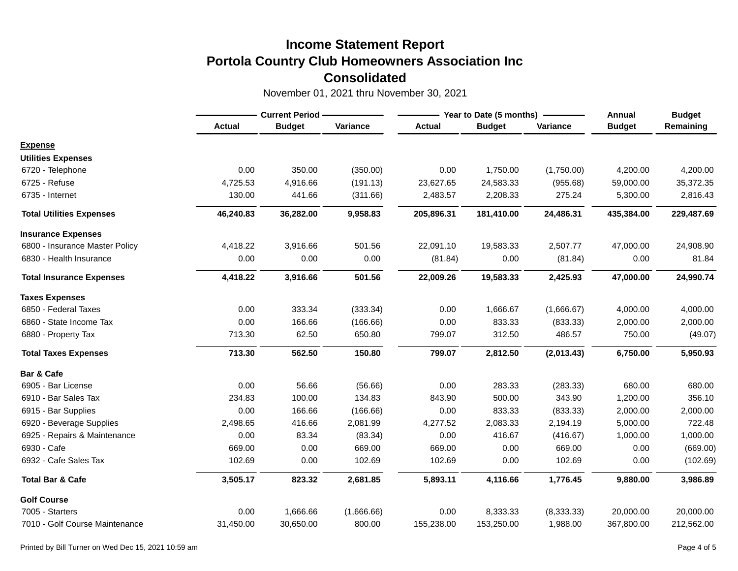|                                 | <b>Current Period -</b> |               |            |               | Year to Date (5 months) | Annual     | <b>Budget</b> |            |
|---------------------------------|-------------------------|---------------|------------|---------------|-------------------------|------------|---------------|------------|
|                                 | <b>Actual</b>           | <b>Budget</b> | Variance   | <b>Actual</b> | <b>Budget</b>           | Variance   | <b>Budget</b> | Remaining  |
| <b>Expense</b>                  |                         |               |            |               |                         |            |               |            |
| <b>Utilities Expenses</b>       |                         |               |            |               |                         |            |               |            |
| 6720 - Telephone                | 0.00                    | 350.00        | (350.00)   | 0.00          | 1,750.00                | (1,750.00) | 4,200.00      | 4,200.00   |
| 6725 - Refuse                   | 4,725.53                | 4,916.66      | (191.13)   | 23,627.65     | 24,583.33               | (955.68)   | 59,000.00     | 35,372.35  |
| 6735 - Internet                 | 130.00                  | 441.66        | (311.66)   | 2,483.57      | 2,208.33                | 275.24     | 5,300.00      | 2,816.43   |
| <b>Total Utilities Expenses</b> | 46,240.83               | 36,282.00     | 9,958.83   | 205,896.31    | 181,410.00              | 24,486.31  | 435,384.00    | 229,487.69 |
| <b>Insurance Expenses</b>       |                         |               |            |               |                         |            |               |            |
| 6800 - Insurance Master Policy  | 4,418.22                | 3,916.66      | 501.56     | 22,091.10     | 19,583.33               | 2,507.77   | 47,000.00     | 24,908.90  |
| 6830 - Health Insurance         | 0.00                    | 0.00          | 0.00       | (81.84)       | 0.00                    | (81.84)    | 0.00          | 81.84      |
| <b>Total Insurance Expenses</b> | 4,418.22                | 3,916.66      | 501.56     | 22,009.26     | 19,583.33               | 2,425.93   | 47,000.00     | 24,990.74  |
| <b>Taxes Expenses</b>           |                         |               |            |               |                         |            |               |            |
| 6850 - Federal Taxes            | 0.00                    | 333.34        | (333.34)   | 0.00          | 1,666.67                | (1,666.67) | 4,000.00      | 4,000.00   |
| 6860 - State Income Tax         | 0.00                    | 166.66        | (166.66)   | 0.00          | 833.33                  | (833.33)   | 2,000.00      | 2,000.00   |
| 6880 - Property Tax             | 713.30                  | 62.50         | 650.80     | 799.07        | 312.50                  | 486.57     | 750.00        | (49.07)    |
| <b>Total Taxes Expenses</b>     | 713.30                  | 562.50        | 150.80     | 799.07        | 2,812.50                | (2,013.43) | 6,750.00      | 5,950.93   |
| Bar & Cafe                      |                         |               |            |               |                         |            |               |            |
| 6905 - Bar License              | 0.00                    | 56.66         | (56.66)    | 0.00          | 283.33                  | (283.33)   | 680.00        | 680.00     |
| 6910 - Bar Sales Tax            | 234.83                  | 100.00        | 134.83     | 843.90        | 500.00                  | 343.90     | 1,200.00      | 356.10     |
| 6915 - Bar Supplies             | 0.00                    | 166.66        | (166.66)   | 0.00          | 833.33                  | (833.33)   | 2,000.00      | 2,000.00   |
| 6920 - Beverage Supplies        | 2,498.65                | 416.66        | 2,081.99   | 4,277.52      | 2,083.33                | 2,194.19   | 5,000.00      | 722.48     |
| 6925 - Repairs & Maintenance    | 0.00                    | 83.34         | (83.34)    | 0.00          | 416.67                  | (416.67)   | 1,000.00      | 1,000.00   |
| 6930 - Cafe                     | 669.00                  | 0.00          | 669.00     | 669.00        | 0.00                    | 669.00     | 0.00          | (669.00)   |
| 6932 - Cafe Sales Tax           | 102.69                  | 0.00          | 102.69     | 102.69        | 0.00                    | 102.69     | 0.00          | (102.69)   |
| <b>Total Bar &amp; Cafe</b>     | 3,505.17                | 823.32        | 2,681.85   | 5,893.11      | 4,116.66                | 1,776.45   | 9,880.00      | 3,986.89   |
| <b>Golf Course</b>              |                         |               |            |               |                         |            |               |            |
| 7005 - Starters                 | 0.00                    | 1,666.66      | (1,666.66) | 0.00          | 8,333.33                | (8,333.33) | 20,000.00     | 20,000.00  |
| 7010 - Golf Course Maintenance  | 31,450.00               | 30,650.00     | 800.00     | 155,238.00    | 153,250.00              | 1,988.00   | 367,800.00    | 212,562.00 |